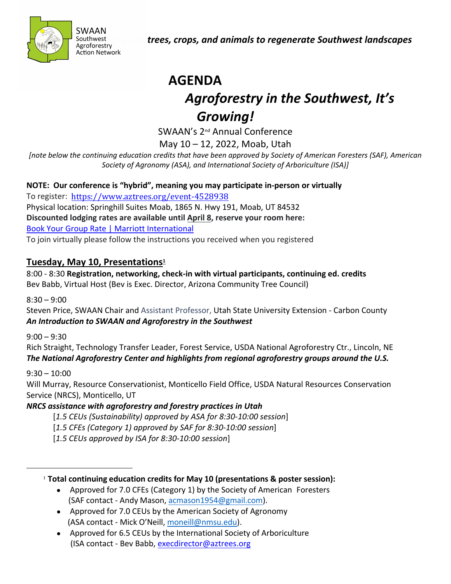

*Helping people integrate trees, crops, and animals to regenerate Southwest landscapes*

# **AGENDA** *Agroforestry in the Southwest, It's Growing!*

SWAAN's 2nd Annual Conference

May 10 – 12, 2022, Moab, Utah

*[note below the continuing education credits that have been approved by Society of American Foresters (SAF), American Society of Agronomy (ASA), and International Society of Arboriculture (ISA)]*

**NOTE: Our conference is "hybrid", meaning you may participate in-person or virtually**

To register: <https://www.aztrees.org/event-4528938> Physical location: Springhill Suites Moab, 1865 N. Hwy 191, Moab, UT 84532 **Discounted lodging rates are available until April 8, reserve your room here:** [Book Your Group Rate | Marriott International](https://www.marriott.com/event-reservations/reservation-link.mi?id=1625255428990&key=GRP&app=resvlink)

To join virtually please follow the instructions you received when you registered

## **Tuesday, May 10, Presentations<sup>1</sup>**

8:00 - 8:30 **Registration, networking, check-in with virtual participants, continuing ed. credits** Bev Babb, Virtual Host (Bev is Exec. Director, Arizona Community Tree Council)

 $8:30 - 9:00$ 

Steven Price, SWAAN Chair and Assistant Professor, Utah State University Extension - Carbon County *An Introduction to SWAAN and Agroforestry in the Southwest*

 $9:00 - 9:30$ 

Rich Straight, Technology Transfer Leader, Forest Service, USDA National Agroforestry Ctr., Lincoln, NE *The National Agroforestry Center and highlights from regional agroforestry groups around the U.S.*

9:30 – 10:00

Will Murray, Resource Conservationist, Monticello Field Office, USDA Natural Resources Conservation Service (NRCS), Monticello, UT

## *NRCS assistance with agroforestry and forestry practices in Utah*

[*1.5 CEUs (Sustainability) approved by ASA for 8:30-10:00 session*]

- [*1.5 CFEs (Category 1) approved by SAF for 8:30-10:00 session*]
- [*1.5 CEUs approved by ISA for 8:30-10:00 session*]

<sup>1</sup> **Total continuing education credits for May 10 (presentations & poster session):**

- Approved for 7.0 CFEs (Category 1) by the Society of American Foresters (SAF contact - Andy Mason, [acmason1954@gmail.com\)](mailto:acmason1954@gmail.com).
- Approved for 7.0 CEUs by the American Society of Agronomy (ASA contact - Mick O'Neill, [moneill@nmsu.edu\)](mailto:moneill@nmsu.edu).
- Approved for 6.5 CEUs by the International Society of Arboriculture (ISA contact - Bev Babb, [execdirector@aztrees.org](mailto:execdirector@aztrees.org)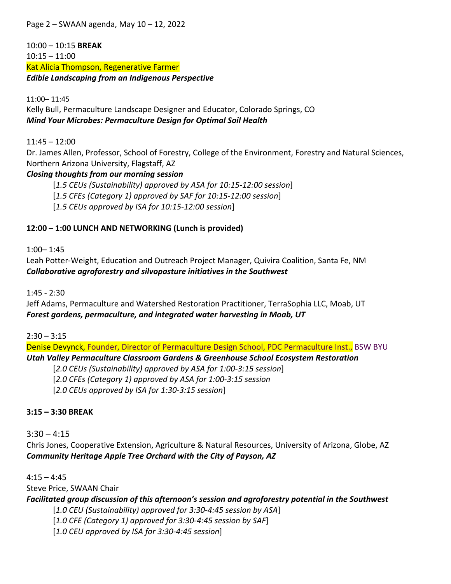Page 2 – SWAAN agenda, May 10 – 12, 2022

10:00 – 10:15 **BREAK** 10:15 – 11:00 Kat Alicia Thompson, Regenerative Farmer *Edible Landscaping from an Indigenous Perspective*

11:00– 11:45 Kelly Bull, Permaculture Landscape Designer and Educator, Colorado Springs, CO *Mind Your Microbes: Permaculture Design for Optimal Soil Health*

11:45 – 12:00

Dr. James Allen, Professor, School of Forestry, College of the Environment, Forestry and Natural Sciences, Northern Arizona University, Flagstaff, AZ

#### *Closing thoughts from our morning session*

[*1.5 CEUs (Sustainability) approved by ASA for 10:15-12:00 session*]

[*1.5 CFEs (Category 1) approved by SAF for 10:15-12:00 session*]

[*1.5 CEUs approved by ISA for 10:15-12:00 session*]

#### **12:00 – 1:00 LUNCH AND NETWORKING (Lunch is provided)**

1:00– 1:45

Leah Potter-Weight, Education and Outreach Project Manager, Quivira Coalition, Santa Fe, NM *Collaborative agroforestry and silvopasture initiatives in the Southwest*

1:45 - 2:30

Jeff Adams, Permaculture and Watershed Restoration Practitioner, TerraSophia LLC, Moab, UT *Forest gardens, permaculture, and integrated water harvesting in Moab, UT*

 $2:30 - 3:15$ 

Denise Devynck, Founder, Director of Permaculture Design School, PDC Permaculture Inst., BSW BYU *Utah Valley Permaculture Classroom Gardens & Greenhouse School Ecosystem Restoration* 

[*2.0 CEUs (Sustainability) approved by ASA for 1:00-3:15 session*] [*2.0 CFEs (Category 1) approved by ASA for 1:00-3:15 session* [*2.0 CEUs approved by ISA for 1:30-3:15 session*]

**3:15 – 3:30 BREAK** 

 $3:30 - 4:15$ Chris Jones, Cooperative Extension, Agriculture & Natural Resources, University of Arizona, Globe, AZ *Community Heritage Apple Tree Orchard with the City of Payson, AZ*

 $4:15 - 4:45$ Steve Price, SWAAN Chair *Facilitated group discussion of this afternoon's session and agroforestry potential in the Southwest* [*1.0 CEU (Sustainability) approved for 3:30-4:45 session by ASA*] [*1.0 CFE (Category 1) approved for 3:30-4:45 session by SAF*]

[*1.0 CEU approved by ISA for 3:30-4:45 session*]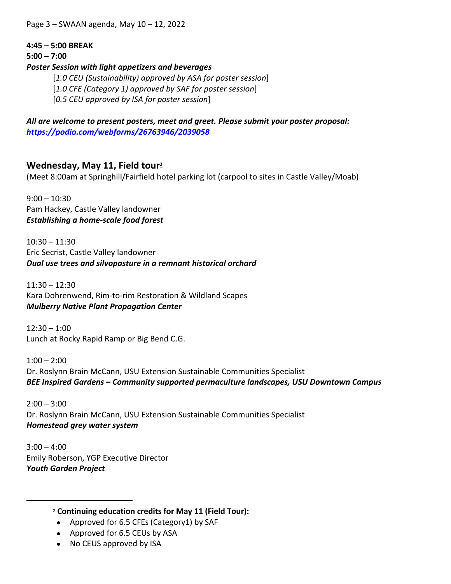Page 3 – SWAAN agenda, May 10 – 12, 2022

#### **4:45 – 5:00 BREAK**

**5:00 – 7:00** 

#### *Poster Session with light appetizers and beverages*

[*1.0 CEU (Sustainability) approved by ASA for poster session*]

[*1.0 CFE (Category 1) approved by SAF for poster session*]

[*0.5 CEU approved by ISA for poster session*]

*All are welcome to present posters, meet and greet. Please submit your poster proposal: <https://podio.com/webforms/26763946/2039058>*

## **Wednesday, May 11, Field tour<sup>2</sup>**

(Meet 8:00am at Springhill/Fairfield hotel parking lot (carpool to sites in Castle Valley/Moab)

 $9:00 - 10:30$ Pam Hackey, Castle Valley landowner *Establishing a home-scale food forest*

 $10:30 - 11:30$ Eric Secrist, Castle Valley landowner *Dual use trees and silvopasture in a remnant historical orchard*

11:30 – 12:30 Kara Dohrenwend, Rim-to-rim Restoration & Wildland Scapes *Mulberry Native Plant Propagation Center*

 $12:30 - 1:00$ Lunch at Rocky Rapid Ramp or Big Bend C.G.

 $1:00 - 2:00$ Dr. Roslynn Brain McCann, USU Extension Sustainable Communities Specialist *BEE Inspired Gardens – Community supported permaculture landscapes, USU Downtown Campus*

 $2:00 - 3:00$ Dr. Roslynn Brain McCann, USU Extension Sustainable Communities Specialist *Homestead grey water system*

 $3:00 - 4:00$ Emily Roberson, YGP Executive Director *Youth Garden Project*

- <sup>2</sup> **Continuing education credits for May 11 (Field Tour):**
- Approved for 6.5 CFEs (Category1) by SAF
- Approved for 6.5 CEUs by ASA
- No CEUS approved by ISA